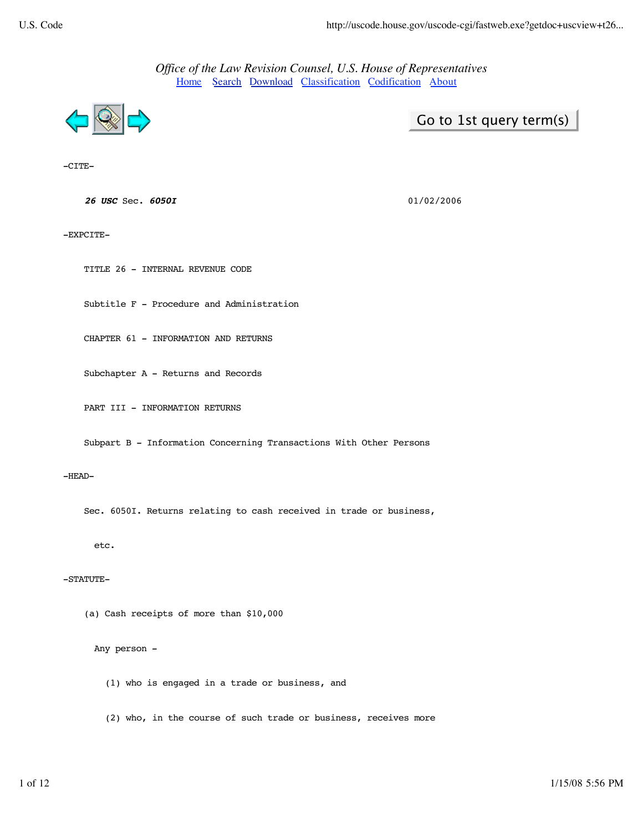*Office of the Law Revision Counsel, U.S. House of Representatives* Home Search Download Classification Codification About



Go to 1st query term(s)

-CITE-

**<sup>26</sup> USC** Sec. **6050I** 01/02/2006

-EXPCITE-

TITLE 26 - INTERNAL REVENUE CODE

Subtitle F - Procedure and Administration

CHAPTER 61 - INFORMATION AND RETURNS

Subchapter A - Returns and Records

PART III - INFORMATION RETURNS

Subpart B - Information Concerning Transactions With Other Persons

#### -HEAD-

Sec. 6050I. Returns relating to cash received in trade or business,

etc.

## -STATUTE-

(a) Cash receipts of more than \$10,000

Any person -

(1) who is engaged in a trade or business, and

(2) who, in the course of such trade or business, receives more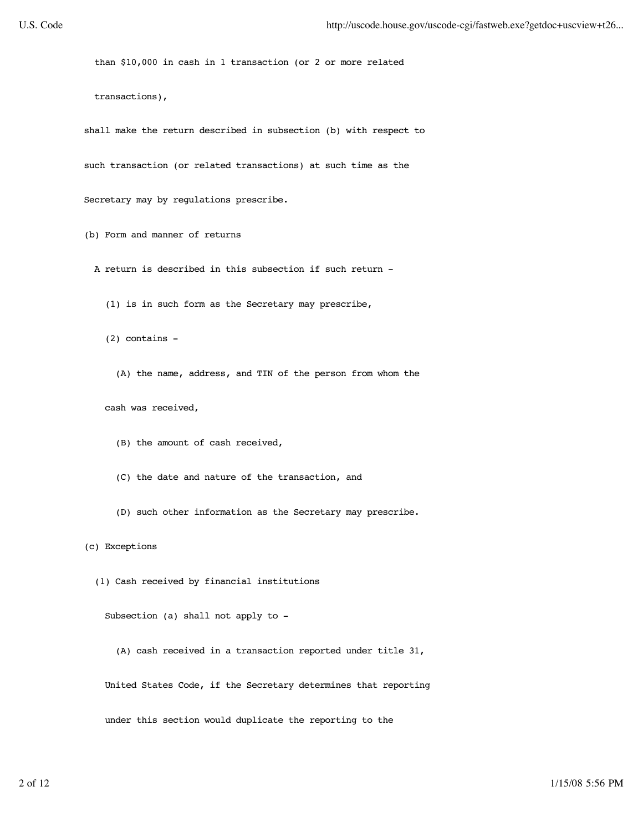than \$10,000 in cash in 1 transaction (or 2 or more related

transactions),

 shall make the return described in subsection (b) with respect to such transaction (or related transactions) at such time as the

Secretary may by regulations prescribe.

(b) Form and manner of returns

- A return is described in this subsection if such return
	- (1) is in such form as the Secretary may prescribe,
	- (2) contains
		- (A) the name, address, and TIN of the person from whom the

cash was received,

- (B) the amount of cash received,
- (C) the date and nature of the transaction, and
- (D) such other information as the Secretary may prescribe.

(c) Exceptions

(1) Cash received by financial institutions

Subsection (a) shall not apply to -

 (A) cash received in a transaction reported under title 31, United States Code, if the Secretary determines that reporting under this section would duplicate the reporting to the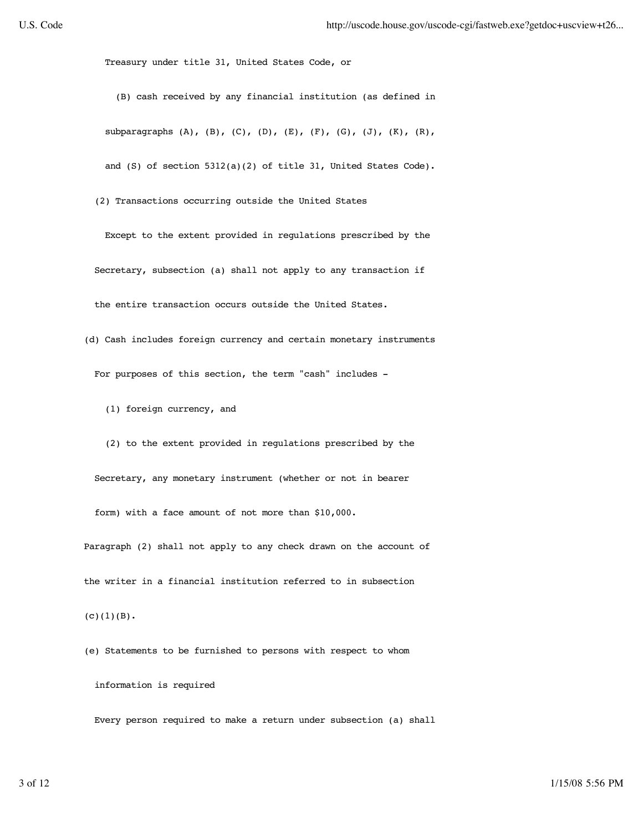Treasury under title 31, United States Code, or

 (B) cash received by any financial institution (as defined in subparagraphs  $(A)$ ,  $(B)$ ,  $(C)$ ,  $(D)$ ,  $(E)$ ,  $(F)$ ,  $(G)$ ,  $(J)$ ,  $(K)$ ,  $(R)$ , and (S) of section 5312(a)(2) of title 31, United States Code).

(2) Transactions occurring outside the United States

 Except to the extent provided in regulations prescribed by the Secretary, subsection (a) shall not apply to any transaction if the entire transaction occurs outside the United States.

- (d) Cash includes foreign currency and certain monetary instruments For purposes of this section, the term "cash" includes -
	- (1) foreign currency, and

 (2) to the extent provided in regulations prescribed by the Secretary, any monetary instrument (whether or not in bearer form) with a face amount of not more than \$10,000.

 Paragraph (2) shall not apply to any check drawn on the account of the writer in a financial institution referred to in subsection

 $(C)(1)(B)$ .

(e) Statements to be furnished to persons with respect to whom

information is required

Every person required to make a return under subsection (a) shall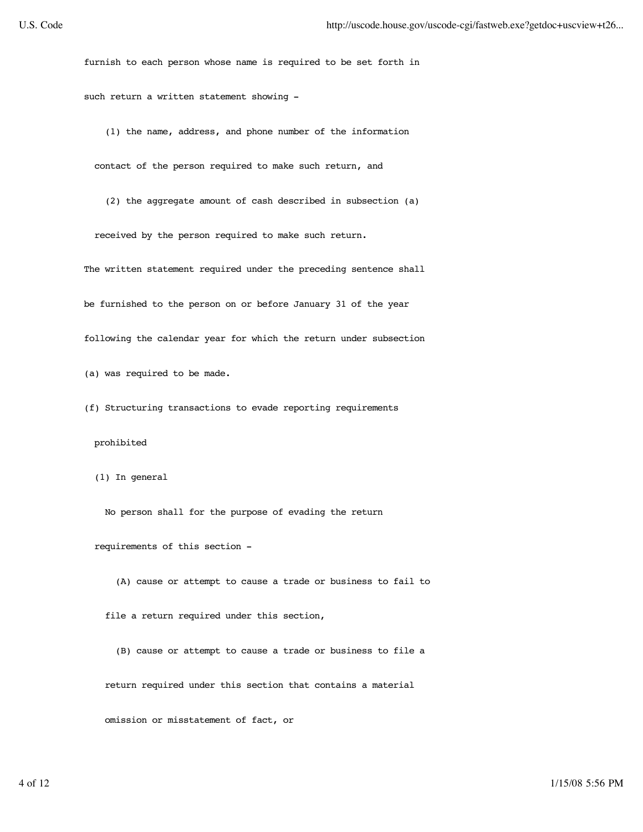furnish to each person whose name is required to be set forth in such return a written statement showing -

(1) the name, address, and phone number of the information

contact of the person required to make such return, and

(2) the aggregate amount of cash described in subsection (a)

received by the person required to make such return.

The written statement required under the preceding sentence shall

be furnished to the person on or before January 31 of the year

following the calendar year for which the return under subsection

(a) was required to be made.

(f) Structuring transactions to evade reporting requirements

# prohibited

(1) In general

No person shall for the purpose of evading the return

requirements of this section -

(A) cause or attempt to cause a trade or business to fail to

file a return required under this section,

 (B) cause or attempt to cause a trade or business to file a return required under this section that contains a material omission or misstatement of fact, or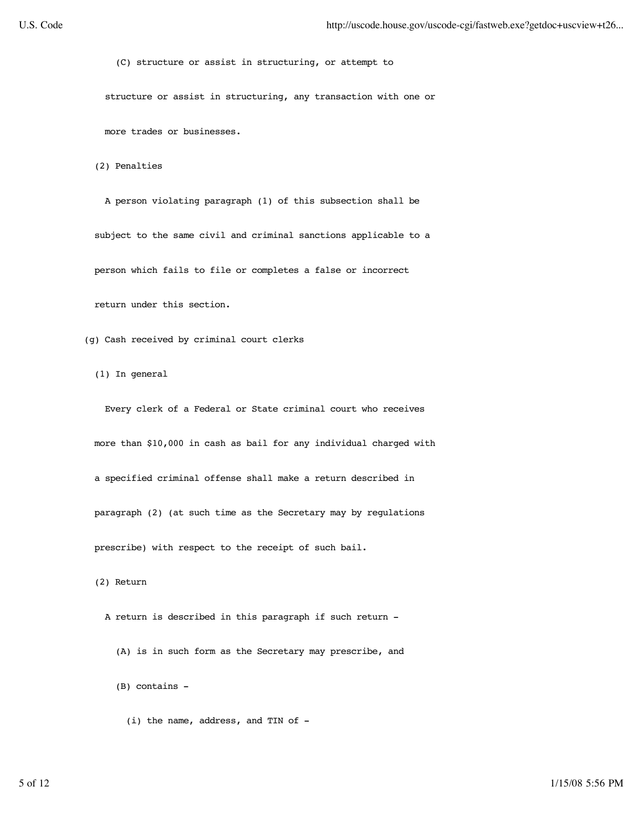(C) structure or assist in structuring, or attempt to

structure or assist in structuring, any transaction with one or

more trades or businesses.

(2) Penalties

 A person violating paragraph (1) of this subsection shall be subject to the same civil and criminal sanctions applicable to a person which fails to file or completes a false or incorrect return under this section.

(g) Cash received by criminal court clerks

(1) In general

 Every clerk of a Federal or State criminal court who receives more than \$10,000 in cash as bail for any individual charged with a specified criminal offense shall make a return described in paragraph (2) (at such time as the Secretary may by regulations prescribe) with respect to the receipt of such bail.

(2) Return

A return is described in this paragraph if such return -

(A) is in such form as the Secretary may prescribe, and

(B) contains -

(i) the name, address, and TIN of -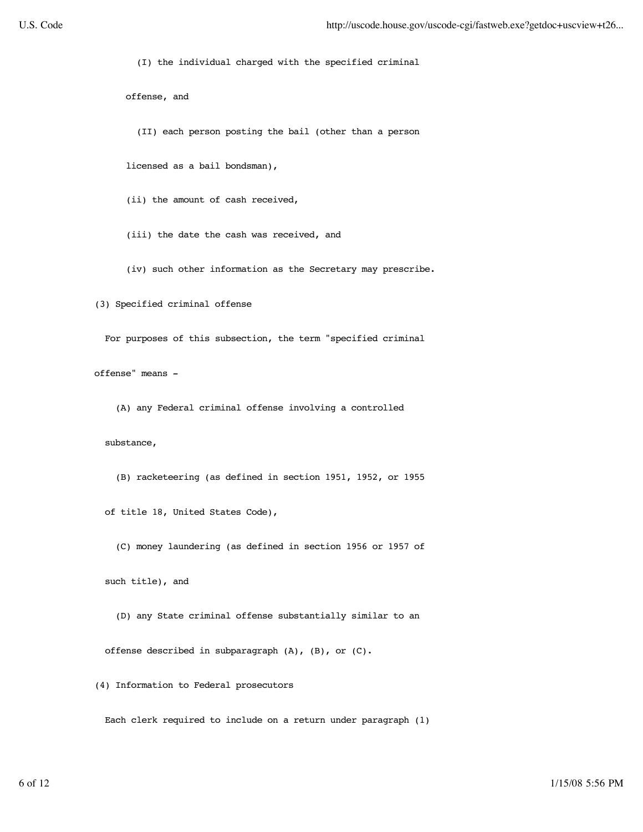(I) the individual charged with the specified criminal

offense, and

(II) each person posting the bail (other than a person

licensed as a bail bondsman),

(ii) the amount of cash received,

(iii) the date the cash was received, and

(iv) such other information as the Secretary may prescribe.

(3) Specified criminal offense

For purposes of this subsection, the term "specified criminal

offense" means -

(A) any Federal criminal offense involving a controlled

substance,

(B) racketeering (as defined in section 1951, 1952, or 1955

of title 18, United States Code),

(C) money laundering (as defined in section 1956 or 1957 of

such title), and

 (D) any State criminal offense substantially similar to an offense described in subparagraph (A), (B), or (C).

(4) Information to Federal prosecutors

Each clerk required to include on a return under paragraph (1)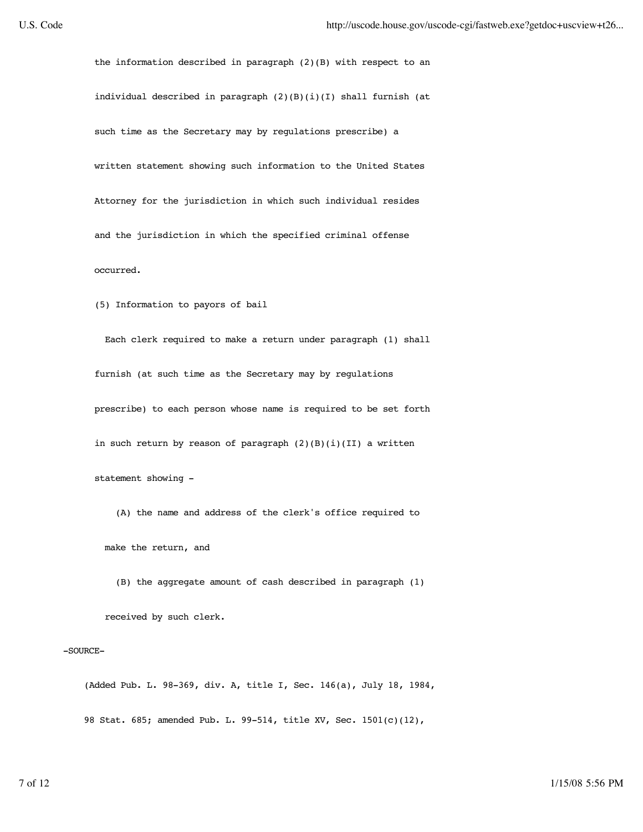the information described in paragraph (2)(B) with respect to an individual described in paragraph (2)(B)(i)(I) shall furnish (at such time as the Secretary may by regulations prescribe) a written statement showing such information to the United States Attorney for the jurisdiction in which such individual resides and the jurisdiction in which the specified criminal offense occurred.

(5) Information to payors of bail

 Each clerk required to make a return under paragraph (1) shall furnish (at such time as the Secretary may by regulations prescribe) to each person whose name is required to be set forth in such return by reason of paragraph  $(2)(B)(i)(II)$  a written statement showing -

 (A) the name and address of the clerk's office required to make the return, and

(B) the aggregate amount of cash described in paragraph (1)

received by such clerk.

### -SOURCE-

 (Added Pub. L. 98-369, div. A, title I, Sec. 146(a), July 18, 1984, 98 Stat. 685; amended Pub. L. 99-514, title XV, Sec. 1501(c)(12),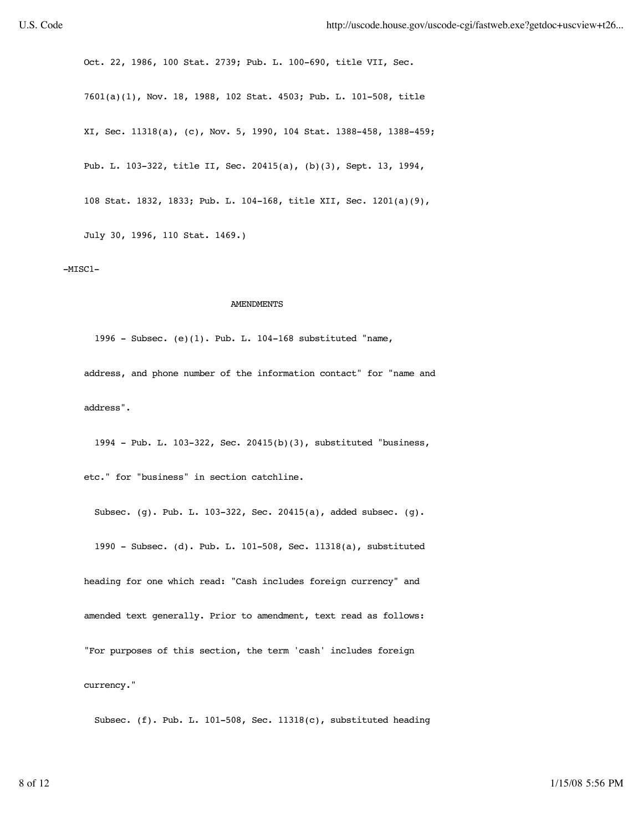Oct. 22, 1986, 100 Stat. 2739; Pub. L. 100-690, title VII, Sec. 7601(a)(1), Nov. 18, 1988, 102 Stat. 4503; Pub. L. 101-508, title XI, Sec. 11318(a), (c), Nov. 5, 1990, 104 Stat. 1388-458, 1388-459; Pub. L. 103-322, title II, Sec. 20415(a), (b)(3), Sept. 13, 1994, 108 Stat. 1832, 1833; Pub. L. 104-168, title XII, Sec. 1201(a)(9), July 30, 1996, 110 Stat. 1469.)

## $-MISC1-$

## **AMENDMENTS**

 1996 - Subsec. (e)(1). Pub. L. 104-168 substituted "name, address, and phone number of the information contact" for "name and address".

1994 - Pub. L. 103-322, Sec. 20415(b)(3), substituted "business,

etc." for "business" in section catchline.

 Subsec. (g). Pub. L. 103-322, Sec. 20415(a), added subsec. (g). 1990 - Subsec. (d). Pub. L. 101-508, Sec. 11318(a), substituted heading for one which read: "Cash includes foreign currency" and amended text generally. Prior to amendment, text read as follows: "For purposes of this section, the term 'cash' includes foreign currency."

Subsec. (f). Pub. L. 101-508, Sec. 11318(c), substituted heading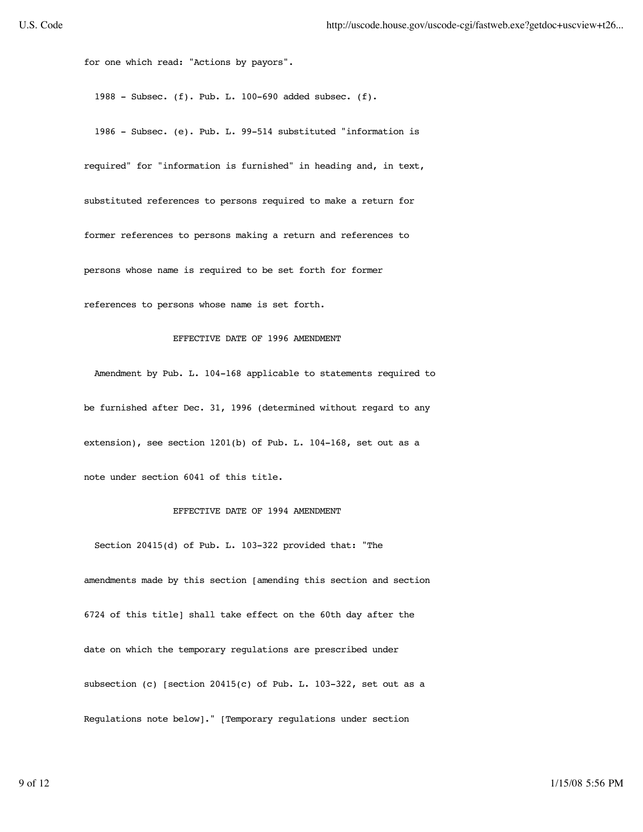for one which read: "Actions by payors".

1988 - Subsec. (f). Pub. L. 100-690 added subsec. (f).

 1986 - Subsec. (e). Pub. L. 99-514 substituted "information is required" for "information is furnished" in heading and, in text, substituted references to persons required to make a return for former references to persons making a return and references to persons whose name is required to be set forth for former references to persons whose name is set forth.

#### EFFECTIVE DATE OF 1996 AMENDMENT

 Amendment by Pub. L. 104-168 applicable to statements required to be furnished after Dec. 31, 1996 (determined without regard to any extension), see section 1201(b) of Pub. L. 104-168, set out as a note under section 6041 of this title.

# EFFECTIVE DATE OF 1994 AMENDMENT

 Section 20415(d) of Pub. L. 103-322 provided that: "The amendments made by this section [amending this section and section 6724 of this title] shall take effect on the 60th day after the date on which the temporary regulations are prescribed under subsection (c) [section 20415(c) of Pub. L. 103-322, set out as a Regulations note below]." [Temporary regulations under section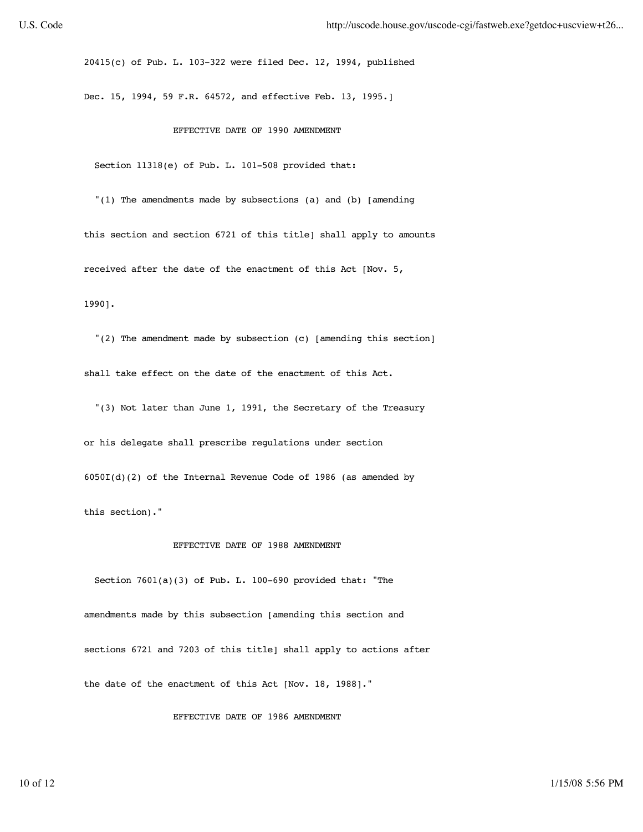20415(c) of Pub. L. 103-322 were filed Dec. 12, 1994, published

Dec. 15, 1994, 59 F.R. 64572, and effective Feb. 13, 1995.]

## EFFECTIVE DATE OF 1990 AMENDMENT

Section 11318(e) of Pub. L. 101-508 provided that:

 "(1) The amendments made by subsections (a) and (b) [amending this section and section 6721 of this title] shall apply to amounts received after the date of the enactment of this Act [Nov. 5,

1990].

 "(2) The amendment made by subsection (c) [amending this section] shall take effect on the date of the enactment of this Act.

 "(3) Not later than June 1, 1991, the Secretary of the Treasury or his delegate shall prescribe regulations under section 6050I(d)(2) of the Internal Revenue Code of 1986 (as amended by this section)."

# EFFECTIVE DATE OF 1988 AMENDMENT

 Section 7601(a)(3) of Pub. L. 100-690 provided that: "The amendments made by this subsection [amending this section and sections 6721 and 7203 of this title] shall apply to actions after the date of the enactment of this Act [Nov. 18, 1988]."

EFFECTIVE DATE OF 1986 AMENDMENT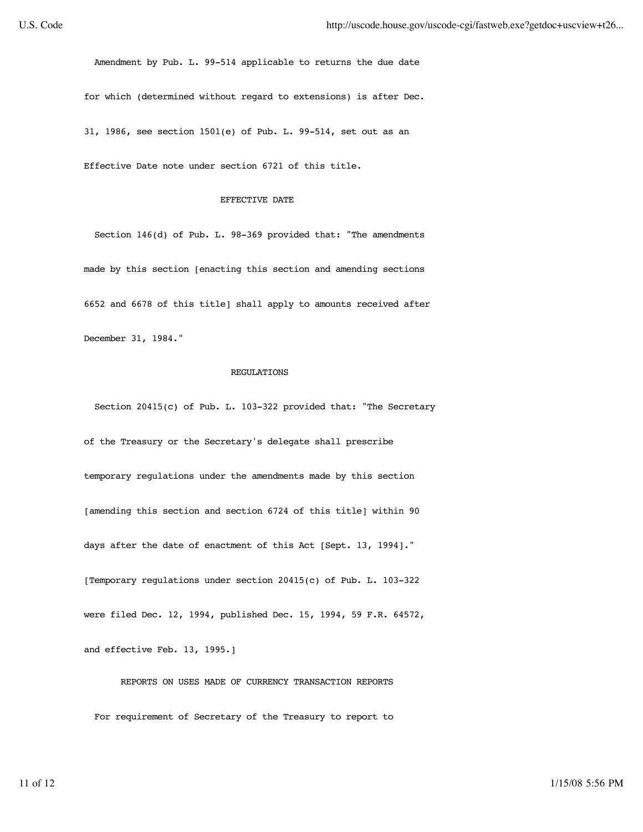Amendment by Pub. L. 99-514 applicable to returns the due date for which (determined without regard to extensions) is after Dec. 31, 1986, see section 1501(e) of Pub. L. 99-514, set out as an

Effective Date note under section 6721 of this title.

## EFFECTIVE DATE

 Section 146(d) of Pub. L. 98-369 provided that: "The amendments made by this section [enacting this section and amending sections 6652 and 6678 of this title] shall apply to amounts received after December 31, 1984."

## REGULATIONS

Section 20415(c) of Pub. L. 103-322 provided that: "The Secretary

 of the Treasury or the Secretary's delegate shall prescribe temporary regulations under the amendments made by this section [amending this section and section 6724 of this title] within 90 days after the date of enactment of this Act [Sept. 13, 1994]." [Temporary regulations under section 20415(c) of Pub. L. 103-322 were filed Dec. 12, 1994, published Dec. 15, 1994, 59 F.R. 64572, and effective Feb. 13, 1995.]

 REPORTS ON USES MADE OF CURRENCY TRANSACTION REPORTS For requirement of Secretary of the Treasury to report to